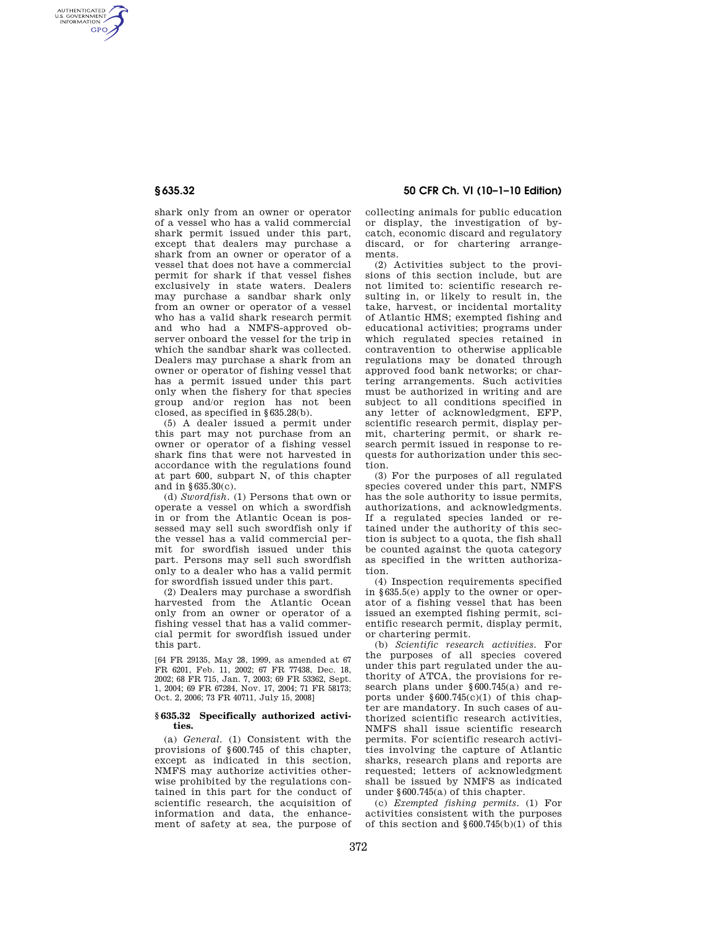AUTHENTICATED<br>U.S. GOVERNMENT<br>INFORMATION **GPO** 

> shark only from an owner or operator of a vessel who has a valid commercial shark permit issued under this part, except that dealers may purchase a shark from an owner or operator of a vessel that does not have a commercial permit for shark if that vessel fishes exclusively in state waters. Dealers may purchase a sandbar shark only from an owner or operator of a vessel who has a valid shark research permit and who had a NMFS-approved observer onboard the vessel for the trip in which the sandbar shark was collected. Dealers may purchase a shark from an owner or operator of fishing vessel that has a permit issued under this part only when the fishery for that species group and/or region has not been closed, as specified in §635.28(b).

> (5) A dealer issued a permit under this part may not purchase from an owner or operator of a fishing vessel shark fins that were not harvested in accordance with the regulations found at part 600, subpart N, of this chapter and in §635.30(c).

> (d) *Swordfish.* (1) Persons that own or operate a vessel on which a swordfish in or from the Atlantic Ocean is possessed may sell such swordfish only if the vessel has a valid commercial permit for swordfish issued under this part. Persons may sell such swordfish only to a dealer who has a valid permit for swordfish issued under this part.

> (2) Dealers may purchase a swordfish harvested from the Atlantic Ocean only from an owner or operator of a fishing vessel that has a valid commercial permit for swordfish issued under this part.

> [64 FR 29135, May 28, 1999, as amended at 67 FR 6201, Feb. 11, 2002; 67 FR 77438, Dec. 18, 2002; 68 FR 715, Jan. 7, 2003; 69 FR 53362, Sept. 1, 2004; 69 FR 67284, Nov. 17, 2004; 71 FR 58173; Oct. 2, 2006; 73 FR 40711, July 15, 2008]

#### **§ 635.32 Specifically authorized activities.**

(a) *General.* (1) Consistent with the provisions of §600.745 of this chapter, except as indicated in this section, NMFS may authorize activities otherwise prohibited by the regulations contained in this part for the conduct of scientific research, the acquisition of information and data, the enhancement of safety at sea, the purpose of

**§ 635.32 50 CFR Ch. VI (10–1–10 Edition)** 

collecting animals for public education or display, the investigation of bycatch, economic discard and regulatory discard, or for chartering arrangements.

(2) Activities subject to the provisions of this section include, but are not limited to: scientific research resulting in, or likely to result in, the take, harvest, or incidental mortality of Atlantic HMS; exempted fishing and educational activities; programs under which regulated species retained in contravention to otherwise applicable regulations may be donated through approved food bank networks; or chartering arrangements. Such activities must be authorized in writing and are subject to all conditions specified in any letter of acknowledgment, EFP, scientific research permit, display permit, chartering permit, or shark research permit issued in response to requests for authorization under this section.

(3) For the purposes of all regulated species covered under this part, NMFS has the sole authority to issue permits, authorizations, and acknowledgments. If a regulated species landed or retained under the authority of this section is subject to a quota, the fish shall be counted against the quota category as specified in the written authorization.

(4) Inspection requirements specified in §635.5(e) apply to the owner or operator of a fishing vessel that has been issued an exempted fishing permit, scientific research permit, display permit, or chartering permit.

(b) *Scientific research activities.* For the purposes of all species covered under this part regulated under the authority of ATCA, the provisions for research plans under §600.745(a) and reports under  $§600.745(c)(1)$  of this chapter are mandatory. In such cases of authorized scientific research activities, NMFS shall issue scientific research permits. For scientific research activities involving the capture of Atlantic sharks, research plans and reports are requested; letters of acknowledgment shall be issued by NMFS as indicated under §600.745(a) of this chapter.

(c) *Exempted fishing permits.* (1) For activities consistent with the purposes of this section and  $\S 600.745(b)(1)$  of this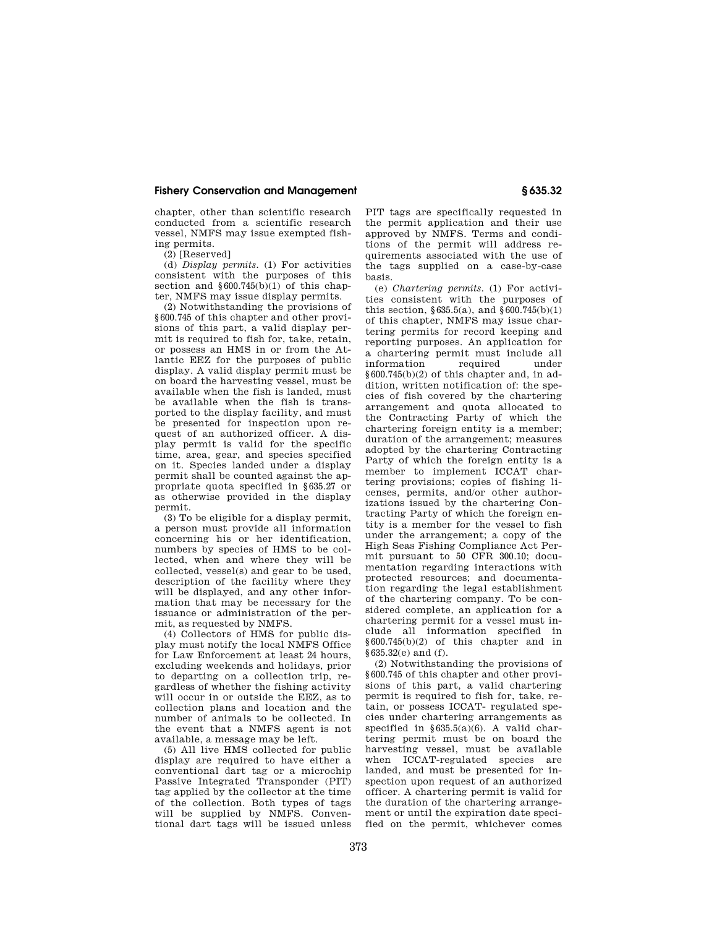## **Fishery Conservation and Management § 635.32**

chapter, other than scientific research conducted from a scientific research vessel, NMFS may issue exempted fishing permits.

(2) [Reserved]

(d) *Display permits.* (1) For activities consistent with the purposes of this section and  $\frac{600.745(b)}{1}$  of this chapter, NMFS may issue display permits.

(2) Notwithstanding the provisions of §600.745 of this chapter and other provisions of this part, a valid display permit is required to fish for, take, retain, or possess an HMS in or from the Atlantic EEZ for the purposes of public display. A valid display permit must be on board the harvesting vessel, must be available when the fish is landed, must be available when the fish is transported to the display facility, and must be presented for inspection upon request of an authorized officer. A display permit is valid for the specific time, area, gear, and species specified on it. Species landed under a display permit shall be counted against the appropriate quota specified in §635.27 or as otherwise provided in the display permit.

(3) To be eligible for a display permit, a person must provide all information concerning his or her identification. numbers by species of HMS to be collected, when and where they will be collected, vessel(s) and gear to be used, description of the facility where they will be displayed, and any other information that may be necessary for the issuance or administration of the permit, as requested by NMFS.

(4) Collectors of HMS for public display must notify the local NMFS Office for Law Enforcement at least 24 hours, excluding weekends and holidays, prior to departing on a collection trip, regardless of whether the fishing activity will occur in or outside the EEZ, as to collection plans and location and the number of animals to be collected. In the event that a NMFS agent is not available, a message may be left.

(5) All live HMS collected for public display are required to have either a conventional dart tag or a microchip Passive Integrated Transponder (PIT) tag applied by the collector at the time of the collection. Both types of tags will be supplied by NMFS. Conventional dart tags will be issued unless

PIT tags are specifically requested in the permit application and their use approved by NMFS. Terms and conditions of the permit will address requirements associated with the use of the tags supplied on a case-by-case basis.

(e) *Chartering permits.* (1) For activities consistent with the purposes of this section,  $§ 635.5(a)$ , and  $§ 600.745(b)(1)$ of this chapter, NMFS may issue chartering permits for record keeping and reporting purposes. An application for a chartering permit must include all information required under  $§600.745(b)(2)$  of this chapter and, in addition, written notification of: the species of fish covered by the chartering arrangement and quota allocated to the Contracting Party of which the chartering foreign entity is a member; duration of the arrangement; measures adopted by the chartering Contracting Party of which the foreign entity is a member to implement ICCAT chartering provisions; copies of fishing licenses, permits, and/or other authorizations issued by the chartering Contracting Party of which the foreign entity is a member for the vessel to fish under the arrangement; a copy of the High Seas Fishing Compliance Act Permit pursuant to 50 CFR 300.10; documentation regarding interactions with protected resources; and documentation regarding the legal establishment of the chartering company. To be considered complete, an application for a chartering permit for a vessel must include all information specified in  $§600.745(b)(2)$  of this chapter and in §635.32(e) and (f).

(2) Notwithstanding the provisions of §600.745 of this chapter and other provisions of this part, a valid chartering permit is required to fish for, take, retain, or possess ICCAT- regulated species under chartering arrangements as specified in  $§635.5(a)(6)$ . A valid chartering permit must be on board the harvesting vessel, must be available when ICCAT-regulated species are landed, and must be presented for inspection upon request of an authorized officer. A chartering permit is valid for the duration of the chartering arrangement or until the expiration date specified on the permit, whichever comes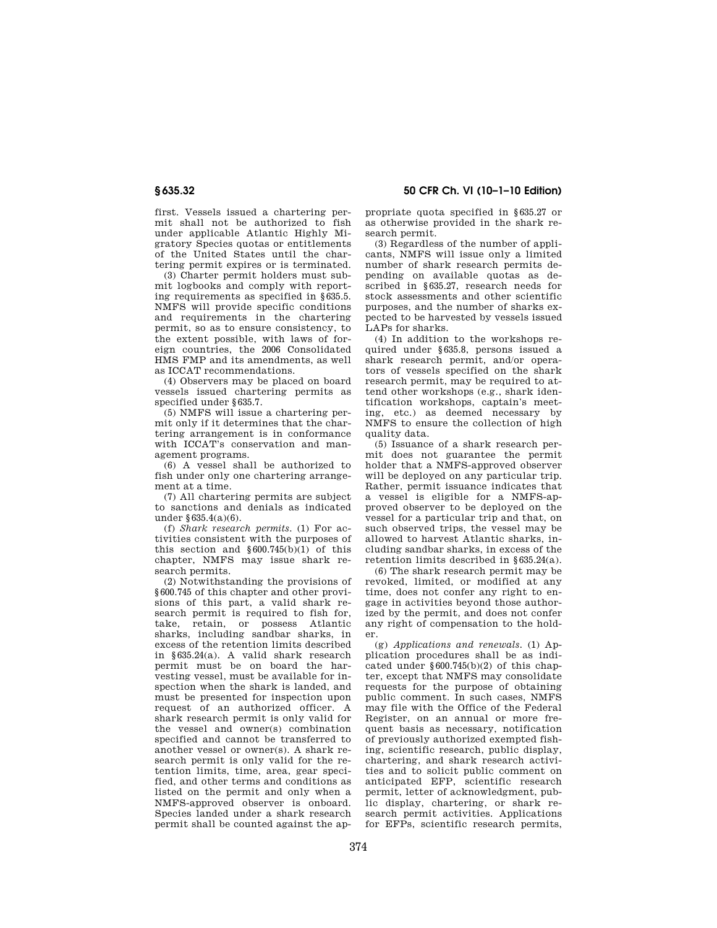first. Vessels issued a chartering permit shall not be authorized to fish under applicable Atlantic Highly Migratory Species quotas or entitlements of the United States until the chartering permit expires or is terminated.

(3) Charter permit holders must submit logbooks and comply with reporting requirements as specified in §635.5. NMFS will provide specific conditions and requirements in the chartering permit, so as to ensure consistency, to the extent possible, with laws of foreign countries, the 2006 Consolidated HMS FMP and its amendments, as well as ICCAT recommendations.

(4) Observers may be placed on board vessels issued chartering permits as specified under §635.7.

(5) NMFS will issue a chartering permit only if it determines that the chartering arrangement is in conformance with ICCAT's conservation and management programs.

(6) A vessel shall be authorized to fish under only one chartering arrangement at a time.

(7) All chartering permits are subject to sanctions and denials as indicated under §635.4(a)(6).

(f) *Shark research permits.* (1) For activities consistent with the purposes of this section and  $§600.745(b)(1)$  of this chapter, NMFS may issue shark research permits.

(2) Notwithstanding the provisions of §600.745 of this chapter and other provisions of this part, a valid shark research permit is required to fish for, take, retain, or possess Atlantic sharks, including sandbar sharks, in excess of the retention limits described in §635.24(a). A valid shark research permit must be on board the harvesting vessel, must be available for inspection when the shark is landed, and must be presented for inspection upon request of an authorized officer. A shark research permit is only valid for the vessel and owner(s) combination specified and cannot be transferred to another vessel or owner(s). A shark research permit is only valid for the retention limits, time, area, gear specified, and other terms and conditions as listed on the permit and only when a NMFS-approved observer is onboard. Species landed under a shark research permit shall be counted against the ap-

**§ 635.32 50 CFR Ch. VI (10–1–10 Edition)** 

propriate quota specified in §635.27 or as otherwise provided in the shark research permit.

(3) Regardless of the number of applicants, NMFS will issue only a limited number of shark research permits depending on available quotas as described in §635.27, research needs for stock assessments and other scientific purposes, and the number of sharks expected to be harvested by vessels issued LAPs for sharks.

(4) In addition to the workshops required under §635.8, persons issued a shark research permit, and/or operators of vessels specified on the shark research permit, may be required to attend other workshops (e.g., shark identification workshops, captain's meeting, etc.) as deemed necessary by NMFS to ensure the collection of high quality data.

(5) Issuance of a shark research permit does not guarantee the permit holder that a NMFS-approved observer will be deployed on any particular trip. Rather, permit issuance indicates that a vessel is eligible for a NMFS-approved observer to be deployed on the vessel for a particular trip and that, on such observed trips, the vessel may be allowed to harvest Atlantic sharks, including sandbar sharks, in excess of the retention limits described in §635.24(a).

(6) The shark research permit may be revoked, limited, or modified at any time, does not confer any right to engage in activities beyond those authorized by the permit, and does not confer any right of compensation to the holder.

(g) *Applications and renewals.* (1) Application procedures shall be as indicated under §600.745(b)(2) of this chapter, except that NMFS may consolidate requests for the purpose of obtaining public comment. In such cases, NMFS may file with the Office of the Federal Register, on an annual or more frequent basis as necessary, notification of previously authorized exempted fishing, scientific research, public display, chartering, and shark research activities and to solicit public comment on anticipated EFP, scientific research permit, letter of acknowledgment, public display, chartering, or shark research permit activities. Applications for EFPs, scientific research permits,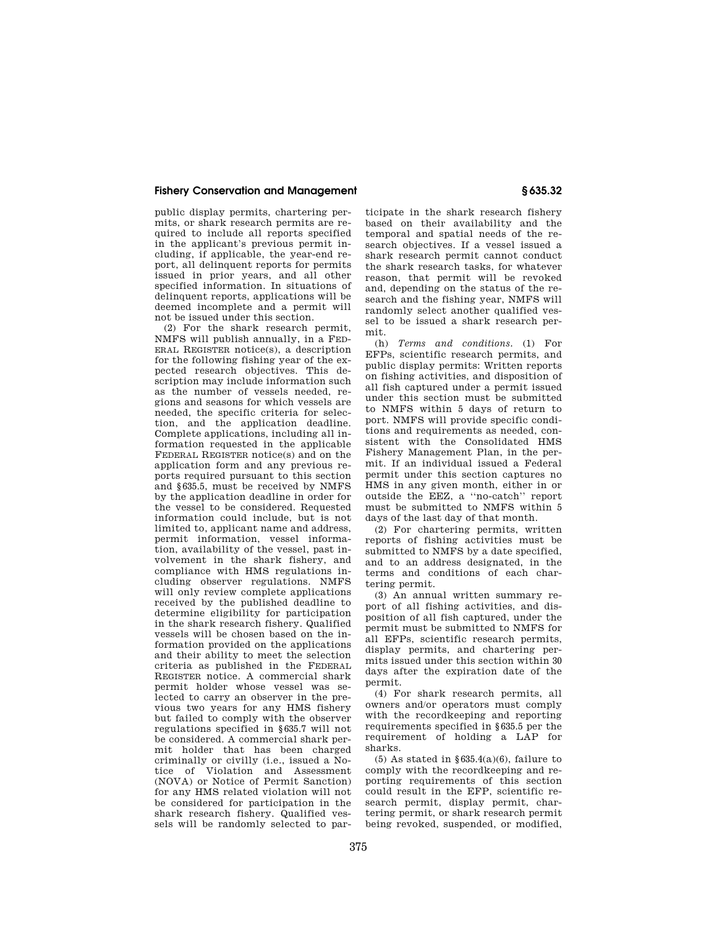# **Fishery Conservation and Management § 635.32**

public display permits, chartering permits, or shark research permits are required to include all reports specified in the applicant's previous permit including, if applicable, the year-end report, all delinquent reports for permits issued in prior years, and all other specified information. In situations of delinquent reports, applications will be deemed incomplete and a permit will not be issued under this section.

(2) For the shark research permit, NMFS will publish annually, in a FED-ERAL REGISTER notice(s), a description for the following fishing year of the expected research objectives. This description may include information such as the number of vessels needed, regions and seasons for which vessels are needed, the specific criteria for selection, and the application deadline. Complete applications, including all information requested in the applicable FEDERAL REGISTER notice(s) and on the application form and any previous reports required pursuant to this section and §635.5, must be received by NMFS by the application deadline in order for the vessel to be considered. Requested information could include, but is not limited to, applicant name and address, permit information, vessel information, availability of the vessel, past involvement in the shark fishery, and compliance with HMS regulations including observer regulations. NMFS will only review complete applications received by the published deadline to determine eligibility for participation in the shark research fishery. Qualified vessels will be chosen based on the information provided on the applications and their ability to meet the selection criteria as published in the FEDERAL REGISTER notice. A commercial shark permit holder whose vessel was selected to carry an observer in the previous two years for any HMS fishery but failed to comply with the observer regulations specified in §635.7 will not be considered. A commercial shark permit holder that has been charged criminally or civilly (i.e., issued a Notice of Violation and Assessment (NOVA) or Notice of Permit Sanction) for any HMS related violation will not be considered for participation in the shark research fishery. Qualified vessels will be randomly selected to participate in the shark research fishery based on their availability and the temporal and spatial needs of the research objectives. If a vessel issued a shark research permit cannot conduct the shark research tasks, for whatever reason, that permit will be revoked and, depending on the status of the research and the fishing year, NMFS will randomly select another qualified vessel to be issued a shark research permit.

(h) *Terms and conditions.* (1) For EFPs, scientific research permits, and public display permits: Written reports on fishing activities, and disposition of all fish captured under a permit issued under this section must be submitted to NMFS within 5 days of return to port. NMFS will provide specific conditions and requirements as needed, consistent with the Consolidated HMS Fishery Management Plan, in the permit. If an individual issued a Federal permit under this section captures no HMS in any given month, either in or outside the EEZ, a ''no-catch'' report must be submitted to NMFS within 5 days of the last day of that month.

(2) For chartering permits, written reports of fishing activities must be submitted to NMFS by a date specified, and to an address designated, in the terms and conditions of each chartering permit.

(3) An annual written summary report of all fishing activities, and disposition of all fish captured, under the permit must be submitted to NMFS for all EFPs, scientific research permits, display permits, and chartering permits issued under this section within 30 days after the expiration date of the permit.

(4) For shark research permits, all owners and/or operators must comply with the recordkeeping and reporting requirements specified in §635.5 per the requirement of holding a LAP for sharks.

(5) As stated in  $§635.4(a)(6)$ , failure to comply with the recordkeeping and reporting requirements of this section could result in the EFP, scientific research permit, display permit, chartering permit, or shark research permit being revoked, suspended, or modified,